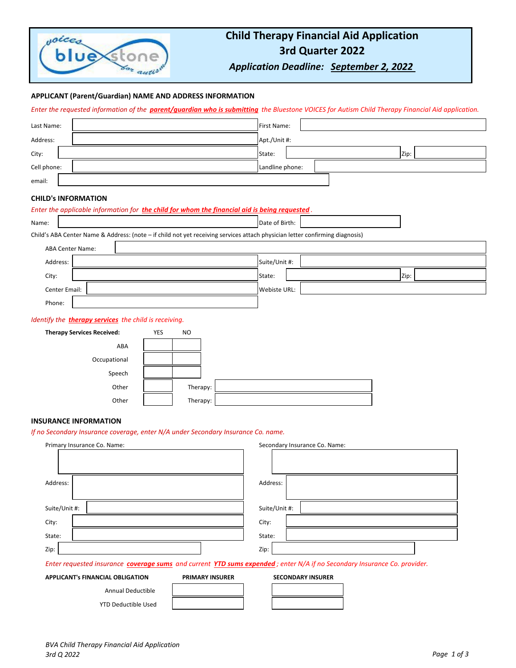

# **Child Therapy Financial Aid Application 3rd Quarter 2022**

*Application Deadline: September 2, 2022* 

# **APPLICANT (Parent/Guardian) NAME AND ADDRESS INFORMATION**

*Enter the requested information of the parent/guardian who is submitting the Bluestone VOICES for Autism Child Therapy Financial Aid application.*

| Last Name:  | First Name:     |  |  |      |
|-------------|-----------------|--|--|------|
| Address:    | Apt./Unit #:    |  |  |      |
| City:       | State:          |  |  | Zip: |
| Cell phone: | Landline phone: |  |  |      |
| email:      |                 |  |  |      |

### **CHILD's INFORMATION**

| Enter the applicable information for the child for whom the financial aid is being requested. |                                                                                                                              |  |  |  |  |
|-----------------------------------------------------------------------------------------------|------------------------------------------------------------------------------------------------------------------------------|--|--|--|--|
| Name:                                                                                         | Date of Birth:                                                                                                               |  |  |  |  |
|                                                                                               | Child's ABA Center Name & Address: (note - if child not yet receiving services attach physician letter confirming diagnosis) |  |  |  |  |
| <b>ABA Center Name:</b>                                                                       |                                                                                                                              |  |  |  |  |
| Address:                                                                                      | Suite/Unit #:                                                                                                                |  |  |  |  |
| City:                                                                                         | State:<br>Zip:                                                                                                               |  |  |  |  |
| Center Email:                                                                                 | Webiste URL:                                                                                                                 |  |  |  |  |
| Phone:                                                                                        |                                                                                                                              |  |  |  |  |
| Identify the <b>therapy services</b> the child is receiving.                                  |                                                                                                                              |  |  |  |  |
| <b>Therapy Services Received:</b>                                                             | YES<br><b>NO</b>                                                                                                             |  |  |  |  |
| ABA                                                                                           |                                                                                                                              |  |  |  |  |
| Occupational                                                                                  |                                                                                                                              |  |  |  |  |
| Speech                                                                                        |                                                                                                                              |  |  |  |  |
| Other                                                                                         | Therapy:                                                                                                                     |  |  |  |  |
| Other                                                                                         | Therapy:                                                                                                                     |  |  |  |  |
|                                                                                               |                                                                                                                              |  |  |  |  |

# **INSURANCE INFORMATION**

*If no Secondary Insurance coverage, enter N/A under Secondary Insurance Co. name.*

| Primary Insurance Co. Name:                                                                                              |                        | Secondary Insurance Co. Name: |  |  |  |
|--------------------------------------------------------------------------------------------------------------------------|------------------------|-------------------------------|--|--|--|
|                                                                                                                          |                        |                               |  |  |  |
|                                                                                                                          |                        |                               |  |  |  |
| Address:                                                                                                                 |                        | Address:                      |  |  |  |
|                                                                                                                          |                        |                               |  |  |  |
| Suite/Unit #:                                                                                                            |                        | Suite/Unit #:                 |  |  |  |
| City:                                                                                                                    |                        | City:                         |  |  |  |
| State:                                                                                                                   |                        | State:                        |  |  |  |
| Zip:                                                                                                                     |                        | Zip:                          |  |  |  |
| Enter requested insurance coverage sums and current YTD sums expended; enter N/A if no Secondary Insurance Co. provider. |                        |                               |  |  |  |
| <b>APPLICANT's FINANCIAL OBLIGATION</b>                                                                                  | <b>PRIMARY INSURER</b> | <b>SECONDARY INSURER</b>      |  |  |  |
| <b>Annual Deductible</b>                                                                                                 |                        |                               |  |  |  |

*BVA Child Therapy Financial Aid Application 3rd Q 2022 Page 1 of 3*

YTD Deductible Used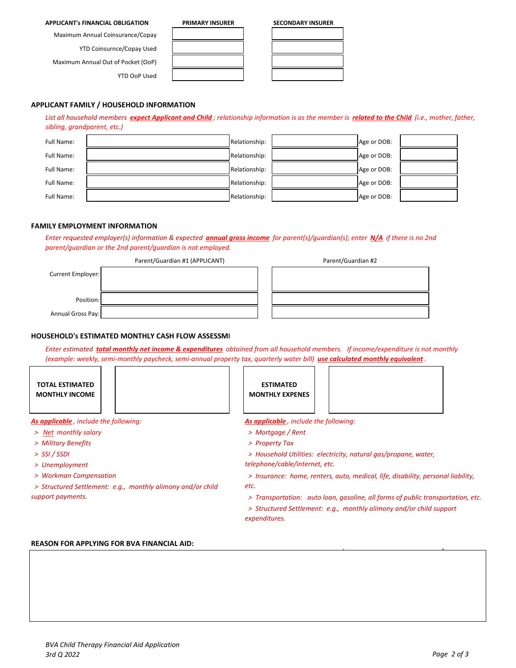### **APPLICANT's FINANCIAL OBLIGATION PRIMARY INSURER SECONDARY INSURER**

Maximum Annual Coinsurance/Copay

YTD Coinsurnce/Copay Used

Maximum Annual Out of Pocket (OoP)

**APPLICANT FAMILY / HOUSEHOLD INFORMATION** 

YTD OoP Used

Full Name:  $\begin{array}{|c|c|c|c|c|c|}\n\hline\n\end{array}$  Relationship:  $\begin{array}{|c|c|c|c|c|}\n\hline\n\end{array}$  Relationship:  $\begin{array}{|c|c|c|c|c|}\n\hline\n\end{array}$  Age or DOB: Full Name:  $\begin{array}{|c|c|c|c|c|}\hline \end{array}$  Relationship:  $\begin{array}{|c|c|c|c|c|}\hline \end{array}$  Age or DOB: Full Name: Relationship: Age or DOB: Full Name: Relationship: Age or DOB: Full Name: Relationship: Age or DOB:

## **FAMILY EMPLOYMENT INFORMATION**

*sibling, grandparent, etc.)*

*Enter requested employer(s) information & expected annual gross income for parent(s)/guardian(s); enter N/A if there is no 2nd parent/guardian or the 2nd parent/guardian is not employed.* 

*List all household members expect Applicant and Child ; relationship information is as the member is related to the Child (i.e., mother, father,* 

|                   | Parent/Guardian #1 (APPLICANT) | Parent/Guardian #2 |
|-------------------|--------------------------------|--------------------|
| Current Employer: |                                |                    |
| Position:         |                                |                    |
| Annual Gross Pay: |                                |                    |

## **HOUSEHOLD's ESTIMATED MONTHLY CASH FLOW ASSESSME**

*Enter estimated total monthly net income & expenditures obtained from all household members. If income/expenditure is not monthly (example: weekly, semi-monthly paycheck, semi-annual property tax, quarterly water bill) use calculated monthly equivalent .* 

**TOTAL ESTIMATED MONTHLY INCOME**

- 
- 
- *> SSI / SSDI*
- *> Unemployment*
- *> Workman Compensation*

*etc. > Structured Settlement: e.g., monthly alimony and/or child support payments.* 

**ESTIMATED MONTHLY EXPENES**



*As applicable , include the following: As applicable , include the following:* 

- *> Net monthly salary > Mortgage / Rent*
- *> Military Benefits > Property Tax*

 *> Household Utilities: electricity, natural gas/propane, water, telephone/cable/internet, etc.*

 *> Insurance: home, renters, auto, medical, life, disability, personal liability,* 

 *> Transportation: auto loan, gasoline, all forms of public transportation, etc.*

 *> Structured Settlement: e.g., monthly alimony and/or child support expenditures.* 

### **REASON FOR APPLYING FOR BVA FINANCIAL AID:**